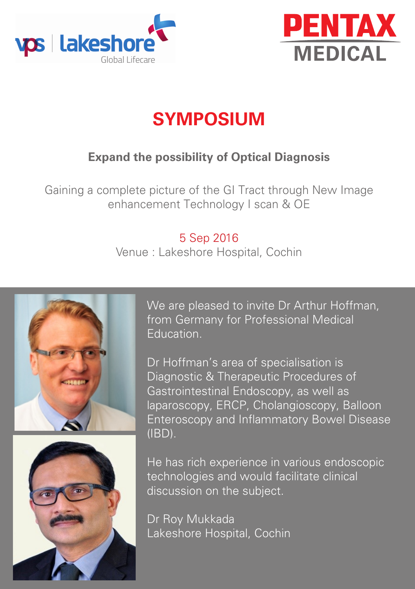



# **SYMPOSIUM**

### **Expand the possibility of Optical Diagnosis**

Gaining a complete picture of the GI Tract through New Image enhancement Technology I scan & OE

#### 5 Sep 2016

Venue : Lakeshore Hospital, Cochin





We are pleased to invite Dr Arthur Hoffman, from Germany for Professional Medical Education.

Dr Hoffman's area of specialisation is Diagnostic & Therapeutic Procedures of Gastrointestinal Endoscopy, as well as laparoscopy, ERCP, Cholangioscopy, Balloon Enteroscopy and Inflammatory Bowel Disease (IBD).

He has rich experience in various endoscopic technologies and would facilitate clinical discussion on the subject.

Dr Roy Mukkada Lakeshore Hospital, Cochin